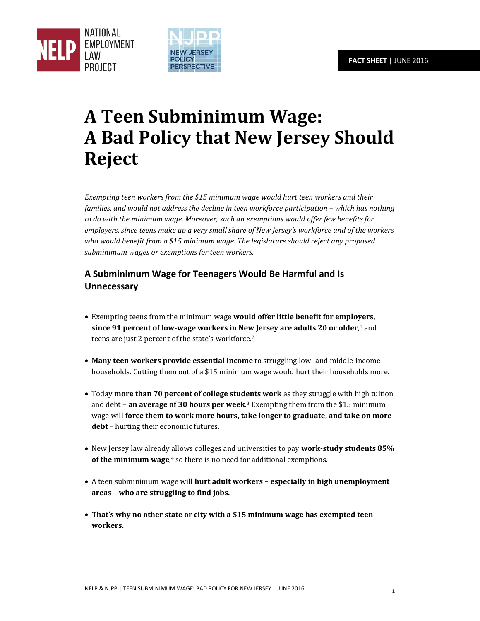



## **A Teen Subminimum Wage: A Bad Policy that New Jersey Should Reject**

*Exempting teen workers from the \$15 minimum wage would hurt teen workers and their families, and would not address the decline in teen workforce participation – which has nothing to do with the minimum wage. Moreover, such an exemptions would offer few benefits for employers, since teens make up a very small share of New Jersey's workforce and of the workers who would benefit from a \$15 minimum wage. The legislature should reject any proposed subminimum wages or exemptions for teen workers.* 

## **A Subminimum Wage for Teenagers Would Be Harmful and Is Unnecessary**

- Exempting teens from the minimum wage **would offer little benefit for employers, since 91 percent of low-wage workers in New Jersey are adults 20 or older**, <sup>1</sup> and teens are just 2 percent of the state's workforce.<sup>2</sup>
- **Many teen workers provide essential income** to struggling low- and middle-income households. Cutting them out of a \$15 minimum wage would hurt their households more.
- Today **more than 70 percent of college students work** as they struggle with high tuition and debt – **an average of 30 hours per week**. <sup>3</sup> Exempting them from the \$15 minimum wage will **force them to work more hours, take longer to graduate, and take on more debt** – hurting their economic futures.
- New Jersey law already allows colleges and universities to pay **work-study students 85% of the minimum wage**, <sup>4</sup> so there is no need for additional exemptions.
- A teen subminimum wage will **hurt adult workers – especially in high unemployment areas – who are struggling to find jobs.**
- **That's why no other state or city with a \$15 minimum wage has exempted teen workers.**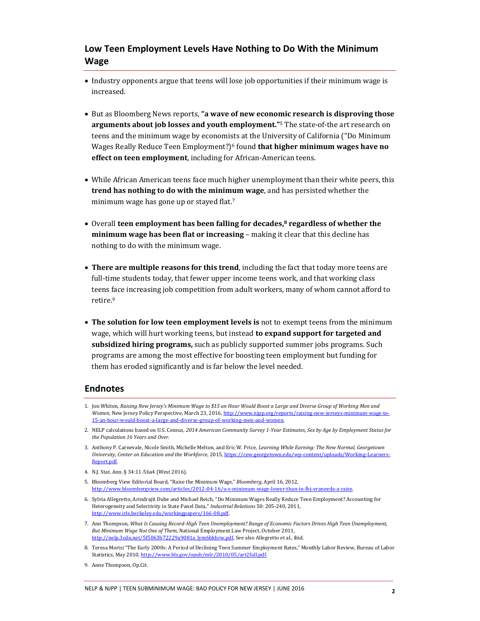## **Low Teen Employment Levels Have Nothing to Do With the Minimum Wage**

- Industry opponents argue that teens will lose job opportunities if their minimum wage is increased.
- But as Bloomberg News reports, **"a wave of new economic research is disproving those arguments about job losses and youth employment."**5 The state-of-the art research on teens and the minimum wage by economists at the University of California ("Do Minimum Wages Really Reduce Teen Employment?)6 found **that higher minimum wages have no effect on teen employment**, including for African-American teens.
- While African American teens face much higher unemployment than their white peers, this **trend has nothing to do with the minimum wage**, and has persisted whether the minimum wage has gone up or stayed flat.<sup>7</sup>
- Overall **teen employment has been falling for decades,8 regardless of whether the minimum wage has been flat or increasing** – making it clear that this decline has nothing to do with the minimum wage.
- **There are multiple reasons for this trend**, including the fact that today more teens are full-time students today, that fewer upper income teens work, and that working class teens face increasing job competition from adult workers, many of whom cannot afford to retire.<sup>9</sup>
- **The solution for low teen employment levels is** not to exempt teens from the minimum wage, which will hurt working teens, but instead **to expand support for targeted and subsidized hiring programs,** such as publicly supported summer jobs programs. Such programs are among the most effective for boosting teen employment but funding for them has eroded significantly and is far below the level needed.

## **Endnotes**

- 4. N.J. Stat. Ann. § 34:11-56a4 (West 2016).
- 5. Bloomberg View Editorial Board, "Raise the Minimum Wage," *Bloomberg*, April 16, 2012, [http://www.bloombergview.com/articles/2012-04-16/u-s-minimum-wage-lower-than-in-lbj-eraneeds-a-raise.](http://www.bloombergview.com/articles/2012-04-16/u-s-minimum-wage-lower-than-in-lbj-eraneeds-a-raise)
- 6. Sylvia Allegretto, Arindrajit Dube and Michael Reich, "Do Minimum Wages Really Reduce Teen Employment? Accounting for Heterogeneity and Selectivity in State Panel Data," *Industrial Relations* 50: 205-240, 2011, [http://www.irle.berkeley.edu/workingpapers/166-08.pdf.](http://www.irle.berkeley.edu/workingpapers/166-08.pdf)
- 7. Ann Thompson, *What Is Causing Record-High Teen Unemployment? Range of Economic Factors Drives High Teen Unemployment, But Minimum Wage Not One of Them*, National Employment Law Project, October 2011, [http://nelp.3cdn.net/5f5063b72229a9081a\\_lym6bkbrw.pdf.](http://nelp.3cdn.net/5f5063b72229a9081a_lym6bkbrw.pdf) See also Allegretto et al., ibid.
- 8. Teresa Morisi "The Early 2000s: A Period of Declining Teen Summer Employment Rates," Monthly Labor Review, Bureau of Labor Statistics, May 2010[, http://www.bls.gov/opub/mlr/2010/05/art2full.pdf.](http://www.bls.gov/opub/mlr/2010/05/art2full.pdf)
- 9. Anne Thompson, Op.Cit.

<sup>1.</sup> Jon Whiten, *Raising New Jersey's Minimum Wage to \$15 an Hour Would Boost a Large and Diverse Group of Working Men and Women*, New Jersey Policy Perspective, March 23, 2016[, http://www.njpp.org/reports/raising-new-jerseys-minimum-wage-to-](http://www.njpp.org/reports/raising-new-jerseys-minimum-wage-to-15-an-hour-would-boost-a-large-and-diverse-group-of-working-men-and-women)[15-an-hour-would-boost-a-large-and-diverse-group-of-working-men-and-women.](http://www.njpp.org/reports/raising-new-jerseys-minimum-wage-to-15-an-hour-would-boost-a-large-and-diverse-group-of-working-men-and-women) 

<sup>2.</sup> NELP calculations based on U.S. Census, *2014 American Community Survey 1-Year Estimates, Sex by Age by Employment Status for the Population 16 Years and Over*.

<sup>3.</sup> Anthony P. Carnevale, Nicole Smith, Michelle Melton, and Eric W. Price, *Learning While Earning: The New Normal, Georgetown University, Center on Education and the Workforce*, 2015, https://cew.georgetown.edu/wp-content/uploads/Working-Lear [Report.pdf.](https://cew.georgetown.edu/wp-content/uploads/Working-Learners-Report.pdf)